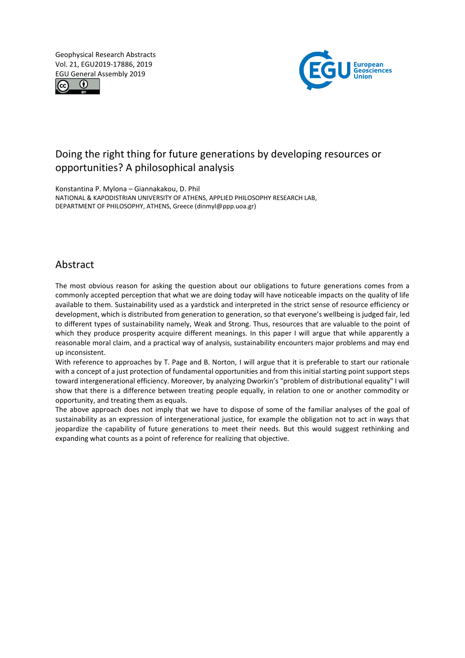Geophysical Research Abstracts Vol. 21, EGU2019-17886, 2019 EGU General Assembly 2019





# Doing the right thing for future generations by developing resources or opportunities? A philosophical analysis

Konstantina P. Mylona – Giannakakou, D. Phil NATIONAL & KAPODISTRIAN UNIVERSITY OF ATHENS, APPLIED PHILOSOPHY RESEARCH LAB, DEPARTMENT OF PHILOSOPHY, ATHENS, Greece (dinmyl@ppp.uoa.gr)

### Abstract

The most obvious reason for asking the question about our obligations to future generations comes from a commonly accepted perception that what we are doing today will have noticeable impacts on the quality of life available to them. Sustainability used as a yardstick and interpreted in the strict sense of resource efficiency or development, which is distributed from generation to generation, so that everyone's wellbeing is judged fair, led to different types of sustainability namely, Weak and Strong. Thus, resources that are valuable to the point of which they produce prosperity acquire different meanings. In this paper I will argue that while apparently a reasonable moral claim, and a practical way of analysis, sustainability encounters major problems and may end up inconsistent.

With reference to approaches by T. Page and B. Norton, I will argue that it is preferable to start our rationale with a concept of a just protection of fundamental opportunities and from this initial starting point support steps toward intergenerational efficiency. Moreover, by analyzing Dworkin's "problem of distributional equality" I will show that there is a difference between treating people equally, in relation to one or another commodity or opportunity, and treating them as equals.

The above approach does not imply that we have to dispose of some of the familiar analyses of the goal of sustainability as an expression of intergenerational justice, for example the obligation not to act in ways that jeopardize the capability of future generations to meet their needs. But this would suggest rethinking and expanding what counts as a point of reference for realizing that objective.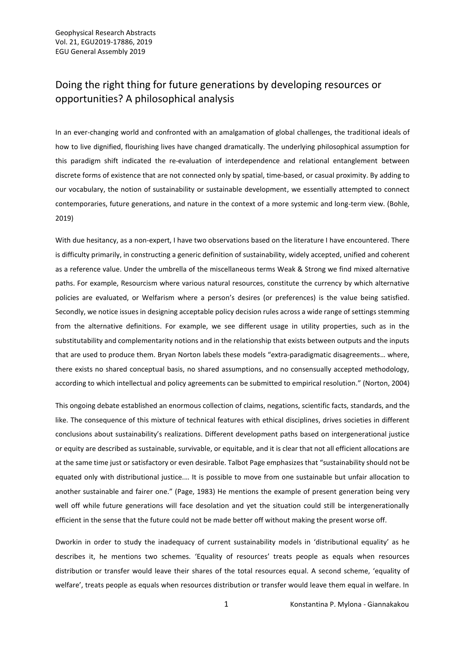## Doing the right thing for future generations by developing resources or opportunities? A philosophical analysis

In an ever-changing world and confronted with an amalgamation of global challenges, the traditional ideals of how to live dignified, flourishing lives have changed dramatically. The underlying philosophical assumption for this paradigm shift indicated the re-evaluation of interdependence and relational entanglement between discrete forms of existence that are not connected only by spatial, time-based, or casual proximity. By adding to our vocabulary, the notion of sustainability or sustainable development, we essentially attempted to connect contemporaries, future generations, and nature in the context of a more systemic and long-term view. (Bohle, 2019)

With due hesitancy, as a non-expert, I have two observations based on the literature I have encountered. There is difficulty primarily, in constructing a generic definition of sustainability, widely accepted, unified and coherent as a reference value. Under the umbrella of the miscellaneous terms Weak & Strong we find mixed alternative paths. For example, Resourcism where various natural resources, constitute the currency by which alternative policies are evaluated, or Welfarism where a person's desires (or preferences) is the value being satisfied. Secondly, we notice issues in designing acceptable policy decision rules across a wide range of settings stemming from the alternative definitions. For example, we see different usage in utility properties, such as in the substitutability and complementarity notions and in the relationship that exists between outputs and the inputs that are used to produce them. Bryan Norton labels these models "extra-paradigmatic disagreements… where, there exists no shared conceptual basis, no shared assumptions, and no consensually accepted methodology, according to which intellectual and policy agreements can be submitted to empirical resolution." (Norton, 2004)

This ongoing debate established an enormous collection of claims, negations, scientific facts, standards, and the like. The consequence of this mixture of technical features with ethical disciplines, drives societies in different conclusions about sustainability's realizations. Different development paths based on intergenerational justice or equity are described as sustainable, survivable, or equitable, and it is clear that not all efficient allocations are at the same time just or satisfactory or even desirable. Talbot Page emphasizes that "sustainability should not be equated only with distributional justice.… It is possible to move from one sustainable but unfair allocation to another sustainable and fairer one." (Page, 1983) He mentions the example of present generation being very well off while future generations will face desolation and yet the situation could still be intergenerationally efficient in the sense that the future could not be made better off without making the present worse off.

Dworkin in order to study the inadequacy of current sustainability models in 'distributional equality' as he describes it, he mentions two schemes. 'Equality of resources' treats people as equals when resources distribution or transfer would leave their shares of the total resources equal. A second scheme, 'equality of welfare', treats people as equals when resources distribution or transfer would leave them equal in welfare. In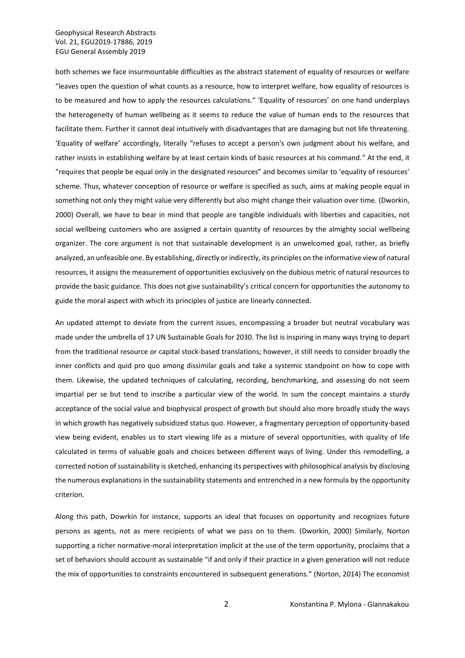### Geophysical Research Abstracts Vol. 21, EGU2019-17886, 2019 EGU General Assembly 2019

both schemes we face insurmountable difficulties as the abstract statement of equality of resources or welfare "leaves open the question of what counts as a resource, how to interpret welfare, how equality of resources is to be measured and how to apply the resources calculations." 'Equality of resources' on one hand underplays the heterogeneity of human wellbeing as it seems to reduce the value of human ends to the resources that facilitate them. Further it cannot deal intuitively with disadvantages that are damaging but not life threatening. 'Equality of welfare' accordingly, literally "refuses to accept a person's own judgment about his welfare, and rather insists in establishing welfare by at least certain kinds of basic resources at his command." At the end, it "requires that people be equal only in the designated resources" and becomes similar to 'equality of resources' scheme. Thus, whatever conception of resource or welfare is specified as such, aims at making people equal in something not only they might value very differently but also might change their valuation over time. (Dworkin, 2000) Overall, we have to bear in mind that people are tangible individuals with liberties and capacities, not social wellbeing customers who are assigned a certain quantity of resources by the almighty social wellbeing organizer. The core argument is not that sustainable development is an unwelcomed goal, rather, as briefly analyzed, an unfeasible one. By establishing, directly or indirectly, its principles on the informative view of natural resources, it assigns the measurement of opportunities exclusively on the dubious metric of natural resources to provide the basic guidance. This does not give sustainability's critical concern for opportunities the autonomy to guide the moral aspect with which its principles of justice are linearly connected.

An updated attempt to deviate from the current issues, encompassing a broader but neutral vocabulary was made under the umbrella of 17 UN Sustainable Goals for 2030. The list is inspiring in many ways trying to depart from the traditional resource or capital stock-based translations; however, it still needs to consider broadly the inner conflicts and quid pro quo among dissimilar goals and take a systemic standpoint on how to cope with them. Likewise, the updated techniques of calculating, recording, benchmarking, and assessing do not seem impartial per se but tend to inscribe a particular view of the world. In sum the concept maintains a sturdy acceptance of the social value and biophysical prospect of growth but should also more broadly study the ways in which growth has negatively subsidized status quo. However, a fragmentary perception of opportunity-based view being evident, enables us to start viewing life as a mixture of several opportunities, with quality of life calculated in terms of valuable goals and choices between different ways of living. Under this remodelling, a corrected notion of sustainability is sketched, enhancing its perspectives with philosophical analysis by disclosing the numerous explanations in the sustainability statements and entrenched in a new formula by the opportunity criterion.

Along this path, Dowrkin for instance, supports an ideal that focuses on opportunity and recognizes future persons as agents, not as mere recipients of what we pass on to them. (Dworkin, 2000) Similarly, Norton supporting a richer normative-moral interpretation implicit at the use of the term opportunity, proclaims that a set of behaviors should account as sustainable "if and only if their practice in a given generation will not reduce the mix of opportunities to constraints encountered in subsequent generations." (Norton, 2014) The economist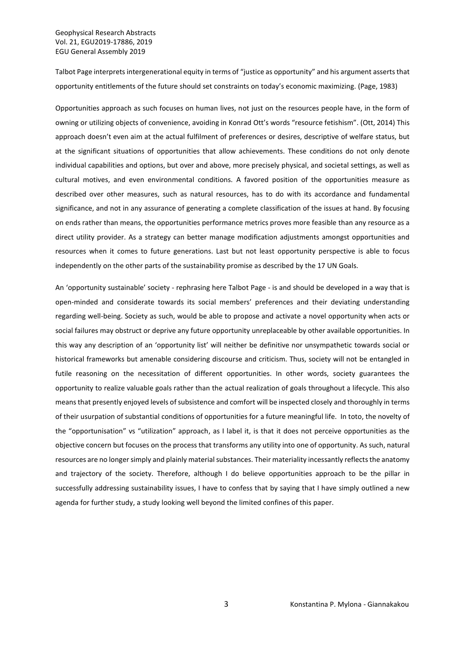Talbot Page interprets intergenerational equity in terms of "justice as opportunity" and his argument asserts that opportunity entitlements of the future should set constraints on today's economic maximizing. (Page, 1983)

Opportunities approach as such focuses on human lives, not just on the resources people have, in the form of owning or utilizing objects of convenience, avoiding in Konrad Ott's words "resource fetishism". (Ott, 2014) This approach doesn't even aim at the actual fulfilment of preferences or desires, descriptive of welfare status, but at the significant situations of opportunities that allow achievements. These conditions do not only denote individual capabilities and options, but over and above, more precisely physical, and societal settings, as well as cultural motives, and even environmental conditions. A favored position of the opportunities measure as described over other measures, such as natural resources, has to do with its accordance and fundamental significance, and not in any assurance of generating a complete classification of the issues at hand. By focusing on ends rather than means, the opportunities performance metrics proves more feasible than any resource as a direct utility provider. As a strategy can better manage modification adjustments amongst opportunities and resources when it comes to future generations. Last but not least opportunity perspective is able to focus independently on the other parts of the sustainability promise as described by the 17 UN Goals.

An 'opportunity sustainable' society - rephrasing here Talbot Page - is and should be developed in a way that is open-minded and considerate towards its social members' preferences and their deviating understanding regarding well-being. Society as such, would be able to propose and activate a novel opportunity when acts or social failures may obstruct or deprive any future opportunity unreplaceable by other available opportunities. In this way any description of an 'opportunity list' will neither be definitive nor unsympathetic towards social or historical frameworks but amenable considering discourse and criticism. Thus, society will not be entangled in futile reasoning on the necessitation of different opportunities. In other words, society guarantees the opportunity to realize valuable goals rather than the actual realization of goals throughout a lifecycle. This also means that presently enjoyed levels of subsistence and comfort will be inspected closely and thoroughly in terms of their usurpation of substantial conditions of opportunities for a future meaningful life. In toto, the novelty of the "opportunisation" vs "utilization" approach, as I label it, is that it does not perceive opportunities as the objective concern but focuses on the process that transforms any utility into one of opportunity. As such, natural resources are no longer simply and plainly material substances. Their materiality incessantly reflects the anatomy and trajectory of the society. Therefore, although I do believe opportunities approach to be the pillar in successfully addressing sustainability issues, I have to confess that by saying that I have simply outlined a new agenda for further study, a study looking well beyond the limited confines of this paper.